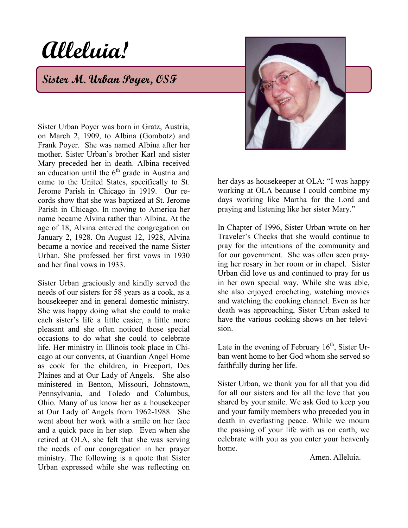## **Alleluia!**

**Sister M. Urban Poyer, OSF**



Sister Urban Poyer was born in Gratz, Austria, on March 2, 1909, to Albina (Gombotz) and Frank Poyer. She was named Albina after her mother. Sister Urban's brother Karl and sister Mary preceded her in death. Albina received an education until the  $6<sup>th</sup>$  grade in Austria and came to the United States, specifically to St. Jerome Parish in Chicago in 1919. Our records show that she was baptized at St. Jerome Parish in Chicago. In moving to America her name became Alvina rather than Albina. At the age of 18, Alvina entered the congregation on January 2, 1928. On August 12, 1928, Alvina became a novice and received the name Sister Urban. She professed her first vows in 1930 and her final vows in 1933.

Sister Urban graciously and kindly served the needs of our sisters for 58 years as a cook, as a housekeeper and in general domestic ministry. She was happy doing what she could to make each sister's life a little easier, a little more pleasant and she often noticed those special occasions to do what she could to celebrate life. Her ministry in Illinois took place in Chicago at our convents, at Guardian Angel Home as cook for the children, in Freeport, Des Plaines and at Our Lady of Angels. She also ministered in Benton, Missouri, Johnstown, Pennsylvania, and Toledo and Columbus, Ohio. Many of us know her as a housekeeper at Our Lady of Angels from 1962-1988. She went about her work with a smile on her face and a quick pace in her step. Even when she retired at OLA, she felt that she was serving the needs of our congregation in her prayer ministry. The following is a quote that Sister Urban expressed while she was reflecting on her days as housekeeper at OLA: "I was happy working at OLA because I could combine my days working like Martha for the Lord and praying and listening like her sister Mary."

In Chapter of 1996, Sister Urban wrote on her Traveler's Checks that she would continue to pray for the intentions of the community and for our government. She was often seen praying her rosary in her room or in chapel. Sister Urban did love us and continued to pray for us in her own special way. While she was able, she also enjoyed crocheting, watching movies and watching the cooking channel. Even as her death was approaching, Sister Urban asked to have the various cooking shows on her television.

Late in the evening of February  $16<sup>th</sup>$ , Sister Urban went home to her God whom she served so faithfully during her life.

Sister Urban, we thank you for all that you did for all our sisters and for all the love that you shared by your smile. We ask God to keep you and your family members who preceded you in death in everlasting peace. While we mourn the passing of your life with us on earth, we celebrate with you as you enter your heavenly home.

Amen. Alleluia.